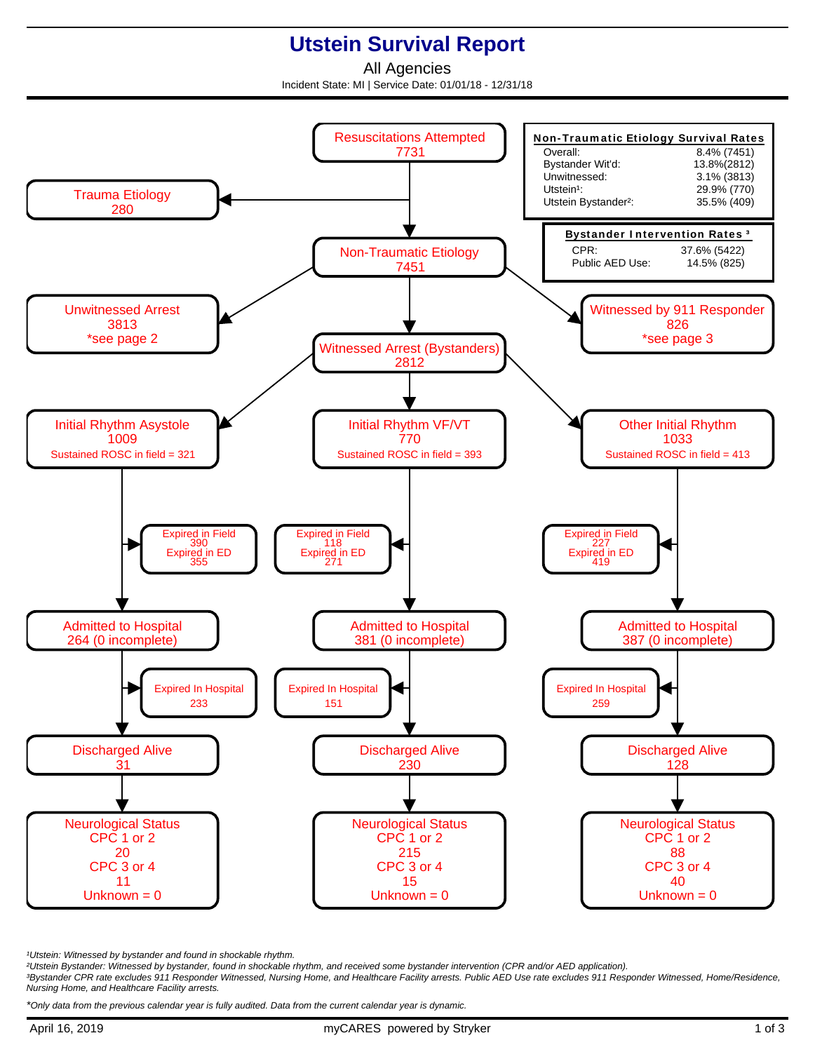## **Utstein Survival Report**

All Agencies Incident State: MI | Service Date: 01/01/18 - 12/31/18



<sup>1</sup>Utstein: Witnessed by bystander and found in shockable rhythm.

²Utstein Bystander: Witnessed by bystander, found in shockable rhythm, and received some bystander intervention (CPR and/or AED application).

³Bystander CPR rate excludes 911 Responder Witnessed, Nursing Home, and Healthcare Facility arrests. Public AED Use rate excludes 911 Responder Witnessed, Home/Residence, Nursing Home, and Healthcare Facility arrests.

\*Only data from the previous calendar year is fully audited. Data from the current calendar year is dynamic.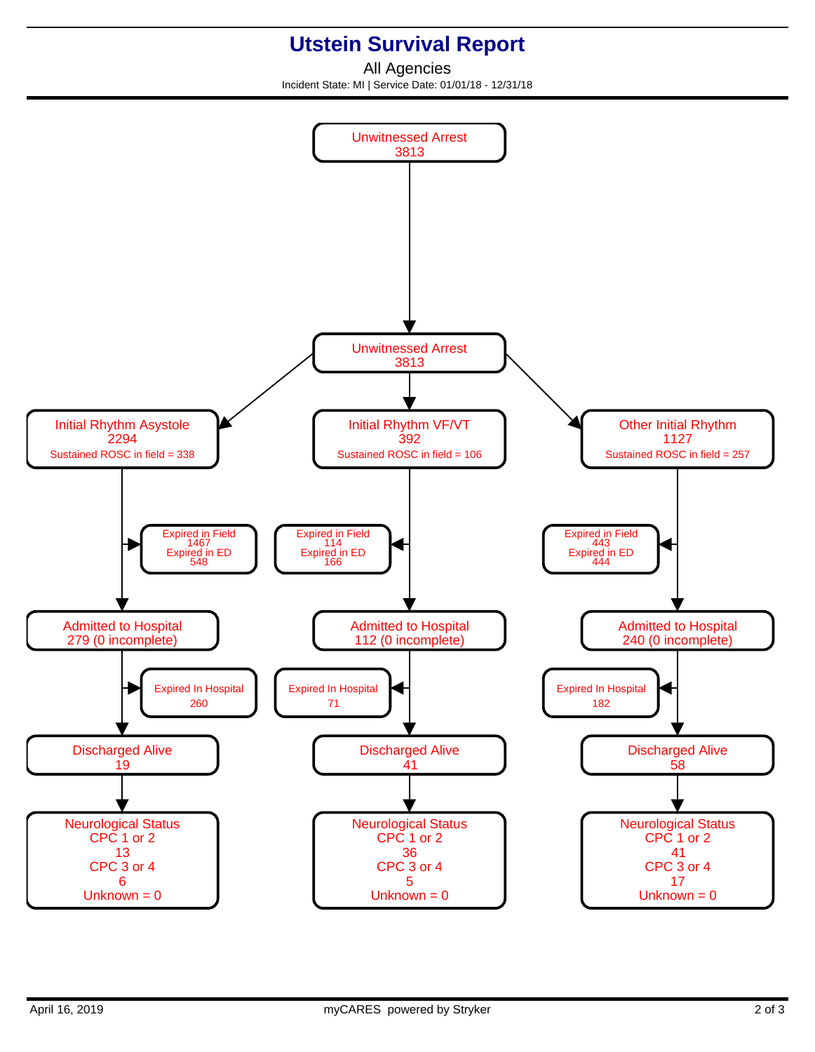## **Utstein Survival Report**

All Agencies Incident State: MI | Service Date: 01/01/18 - 12/31/18